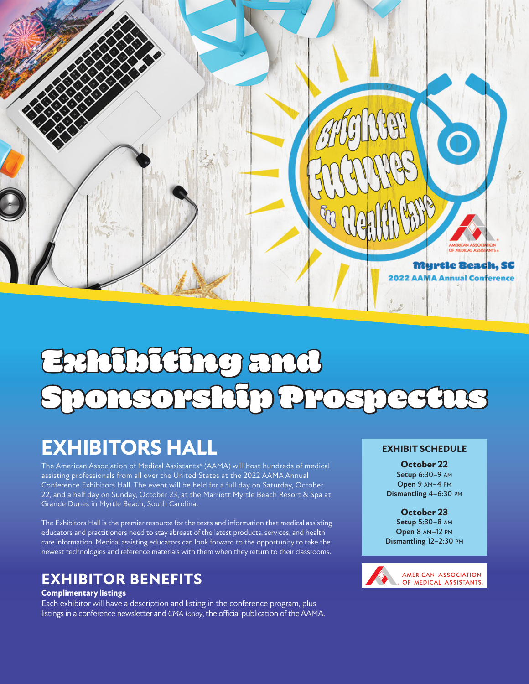

# Exhibiting and Sponsorship Prospectus

# **EXHIBITORS HALL**

The American Association of Medical Assistants® (AAMA) will host hundreds of medical assisting professionals from all over the United States at the 2022 AAMA Annual Conference Exhibitors Hall. The event will be held for a full day on Saturday, October 22, and a half day on Sunday, October 23, at the Marriott Myrtle Beach Resort & Spa at Grande Dunes in Myrtle Beach, South Carolina.

The Exhibitors Hall is the premier resource for the texts and information that medical assisting educators and practitioners need to stay abreast of the latest products, services, and health care information. Medical assisting educators can look forward to the opportunity to take the newest technologies and reference materials with them when they return to their classrooms.

### **EXHIBITOR BENEFITS**

#### **Complimentary listings**

Each exhibitor will have a description and listing in the conference program, plus listings in a conference newsletter and *CMA Today*, the official publication of the AAMA.

#### **EXHIBIT SCHEDULE**

**October 22**

**Setup** 6:30–9 am **Open** 9 am–4 pm **Dismantling** 4–6:30 pm

#### **October 23**

**Setup** 5:30–8 am **Open** 8 am–12 pm **Dismantling** 12–2:30 pm

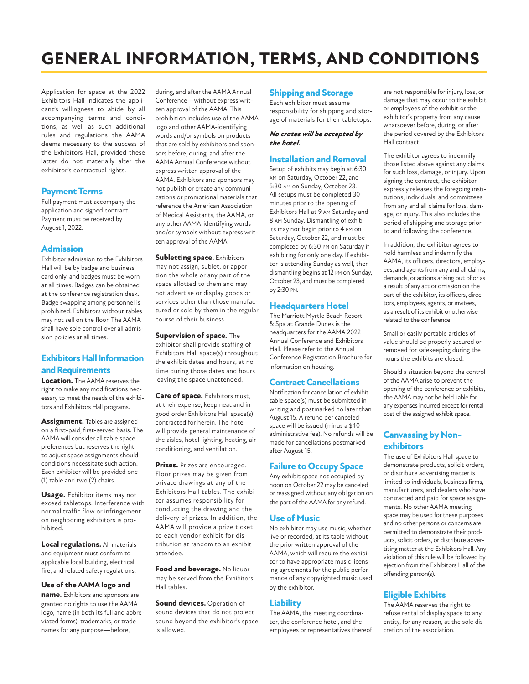# **GENERAL INFORMATION, TERMS, AND CONDITIONS**

Application for space at the 2022 Exhibitors Hall indicates the applicant's willingness to abide by all accompanying terms and conditions, as well as such additional rules and regulations the AAMA deems necessary to the success of the Exhibitors Hall, provided these latter do not materially alter the exhibitor's contractual rights.

#### **Payment Terms**

Full payment must accompany the application and signed contract. Payment must be received by August 1, 2022.

#### **Admission**

Exhibitor admission to the Exhibitors Hall will be by badge and business card only, and badges must be worn at all times. Badges can be obtained at the conference registration desk. Badge swapping among personnel is prohibited. Exhibitors without tables may not sell on the floor. The AAMA shall have sole control over all admission policies at all times.

#### **Exhibitors Hall Information and Requirements**

**Location.** The AAMA reserves the right to make any modifications necessary to meet the needs of the exhibitors and Exhibitors Hall programs.

**Assignment.** Tables are assigned on a first-paid, first-served basis. The AAMA will consider all table space preferences but reserves the right to adjust space assignments should conditions necessitate such action. Each exhibitor will be provided one (1) table and two (2) chairs.

**Usage.** Exhibitor items may not exceed tabletops. Interference with normal traffic flow or infringement on neighboring exhibitors is prohibited.

**Local regulations.** All materials and equipment must conform to applicable local building, electrical, fire, and related safety regulations.

**Use of the AAMA logo and name.** Exhibitors and sponsors are granted no rights to use the AAMA logo, name (in both its full and abbreviated forms), trademarks, or trade names for any purpose—before,

during, and after the AAMA Annual Conference—without express written approval of the AAMA. This prohibition includes use of the AAMA logo and other AAMA-identifying words and/or symbols on products that are sold by exhibitors and sponsors before, during, and after the AAMA Annual Conference without express written approval of the AAMA. Exhibitors and sponsors may not publish or create any communications or promotional materials that reference the American Association of Medical Assistants, the AAMA, or any other AAMA-identifying words and/or symbols without express written approval of the AAMA.

**Subletting space.** Exhibitors may not assign, sublet, or apportion the whole or any part of the space allotted to them and may not advertise or display goods or services other than those manufactured or sold by them in the regular course of their business.

**Supervision of space.** The exhibitor shall provide staffing of Exhibitors Hall space(s) throughout the exhibit dates and hours, at no time during those dates and hours leaving the space unattended.

**Care of space.** Exhibitors must, at their expense, keep neat and in good order Exhibitors Hall space(s) contracted for herein. The hotel will provide general maintenance of the aisles, hotel lighting, heating, air conditioning, and ventilation.

**Prizes.** Prizes are encouraged. Floor prizes may be given from private drawings at any of the Exhibitors Hall tables. The exhibitor assumes responsibility for conducting the drawing and the delivery of prizes. In addition, the AAMA will provide a prize ticket to each vendor exhibit for distribution at random to an exhibit attendee.

**Food and beverage.** No liquor may be served from the Exhibitors Hall tables.

**Sound devices.** Operation of sound devices that do not project sound beyond the exhibitor's space is allowed.

#### **Shipping and Storage**

Each exhibitor must assume responsibility for shipping and storage of materials for their tabletops.

#### *No crates will be accepted by the hotel.*

#### **Installation and Removal**

Setup of exhibits may begin at 6:30 am on Saturday, October 22, and 5:30 am on Sunday, October 23. All setups must be completed 30 minutes prior to the opening of Exhibitors Hall at 9 am Saturday and 8 am Sunday. Dismantling of exhibits may not begin prior to 4 pm on Saturday, October 22, and must be completed by 6:30 pm on Saturday if exhibiting for only one day. If exhibitor is attending Sunday as well, then dismantling begins at 12 pm on Sunday, October 23, and must be completed by 2:30 pm.

#### **Headquarters Hotel**

The Marriott Myrtle Beach Resort & Spa at Grande Dunes is the headquarters for the AAMA 2022 Annual Conference and Exhibitors Hall. Please refer to the Annual Conference Registration Brochure for information on housing.

#### **Contract Cancellations**

Notification for cancellation of exhibit table space(s) must be submitted in writing and postmarked no later than August 15. A refund per canceled space will be issued (minus a \$40 administrative fee). No refunds will be made for cancellations postmarked after August 15.

#### **Failure to Occupy Space**

Any exhibit space not occupied by noon on October 22 may be canceled or reassigned without any obligation on the part of the AAMA for any refund.

#### **Use of Music**

No exhibitor may use music, whether live or recorded, at its table without the prior written approval of the AAMA, which will require the exhibitor to have appropriate music licensing agreements for the public performance of any copyrighted music used by the exhibitor.

#### **Liability**

The AAMA, the meeting coordinator, the conference hotel, and the employees or representatives thereof are not responsible for injury, loss, or damage that may occur to the exhibit or employees of the exhibit or the exhibitor's property from any cause whatsoever before, during, or after the period covered by the Exhibitors Hall contract.

The exhibitor agrees to indemnify those listed above against any claims for such loss, damage, or injury. Upon signing the contract, the exhibitor expressly releases the foregoing institutions, individuals, and committees from any and all claims for loss, damage, or injury. This also includes the period of shipping and storage prior to and following the conference.

In addition, the exhibitor agrees to hold harmless and indemnify the AAMA, its officers, directors, employees, and agents from any and all claims, demands, or actions arising out of or as a result of any act or omission on the part of the exhibitor, its officers, directors, employees, agents, or invitees, as a result of its exhibit or otherwise related to the conference.

Small or easily portable articles of value should be properly secured or removed for safekeeping during the hours the exhibits are closed.

Should a situation beyond the control of the AAMA arise to prevent the opening of the conference or exhibits, the AAMA may not be held liable for any expenses incurred except for rental cost of the assigned exhibit space.

#### **Canvassing by Nonexhibitors**

The use of Exhibitors Hall space to demonstrate products, solicit orders, or distribute advertising matter is limited to individuals, business firms, manufacturers, and dealers who have contracted and paid for space assignments. No other AAMA meeting space may be used for these purposes and no other persons or concerns are permitted to demonstrate their products, solicit orders, or distribute advertising matter at the Exhibitors Hall. Any violation of this rule will be followed by ejection from the Exhibitors Hall of the offending person(s).

#### **Eligible Exhibits**

The AAMA reserves the right to refuse rental of display space to any entity, for any reason, at the sole discretion of the association.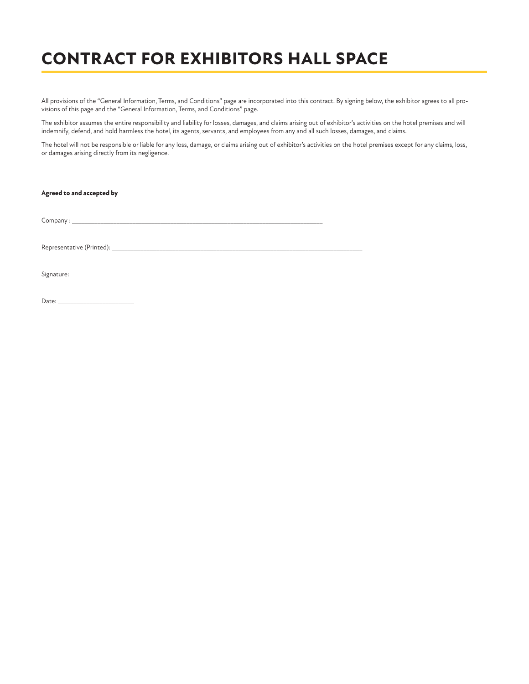## **CONTRACT FOR EXHIBITORS HALL SPACE**

All provisions of the "General Information, Terms, and Conditions" page are incorporated into this contract. By signing below, the exhibitor agrees to all provisions of this page and the "General Information, Terms, and Conditions" page.

The exhibitor assumes the entire responsibility and liability for losses, damages, and claims arising out of exhibitor's activities on the hotel premises and will indemnify, defend, and hold harmless the hotel, its agents, servants, and employees from any and all such losses, damages, and claims.

The hotel will not be responsible or liable for any loss, damage, or claims arising out of exhibitor's activities on the hotel premises except for any claims, loss, or damages arising directly from its negligence.

#### **Agreed to and accepted by**

 $Company:$ 

Representative (Printed): \_\_\_\_\_\_\_\_\_\_\_\_\_\_\_\_\_\_\_\_\_\_\_\_\_\_\_\_\_\_\_\_\_\_\_\_\_\_\_\_\_\_\_\_\_\_\_\_\_\_\_\_\_\_\_\_\_\_\_\_\_\_\_\_\_\_\_\_\_\_\_\_\_\_\_\_\_\_\_

Signature: \_\_\_\_\_\_\_\_\_\_\_\_\_\_\_\_\_\_\_\_\_\_\_\_\_\_\_\_\_\_\_\_\_\_\_\_\_\_\_\_\_\_\_\_\_\_\_\_\_\_\_\_\_\_\_\_\_\_\_\_\_\_\_\_\_\_\_\_\_\_\_\_\_\_\_\_\_\_\_

Date: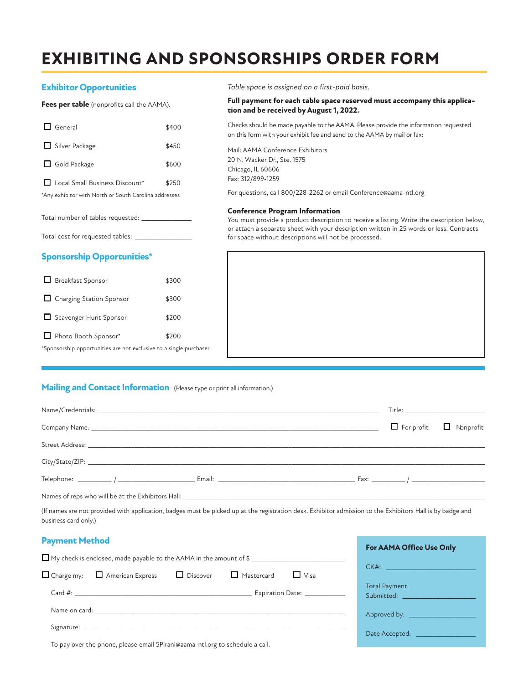# **EXHIBITING AND SPONSORSHIPS ORDER FORM**

#### **Exhibitor Opportunities**

**Fees per table** (nonprofits call the AAMA).

|                                                       | $\Box$ General                 | \$400 |  |
|-------------------------------------------------------|--------------------------------|-------|--|
|                                                       | Silver Package                 | \$450 |  |
|                                                       | $\Box$ Gold Package            | \$600 |  |
|                                                       | Local Small Business Discount* | \$250 |  |
| *Any exhibitor with North or South Carolina addresses |                                |       |  |
|                                                       |                                |       |  |

Total number of tables requested: \_\_

Total cost for requested tables: \_

#### **Sponsorship Opportunities\***

| <b>Breakfast Sponsor</b>   | \$300 |
|----------------------------|-------|
| □ Charging Station Sponsor | \$300 |
| Scavenger Hunt Sponsor     | \$200 |
| Photo Booth Sponsor*       | \$200 |

\*Sponsorship opportunities are not exclusive to a single purchaser.

*Table space is assigned on a first-paid basis.*

#### **Full payment for each table space reserved must accompany this application and be received by August 1, 2022.**

Checks should be made payable to the AAMA. Please provide the information requested on this form with your exhibit fee and send to the AAMA by mail or fax:

Mail: AAMA Conference Exhibitors 20 N. Wacker Dr., Ste. 1575 Chicago, IL 60606 Fax: 312/899-1259

For questions, call 800/228-2262 or email Conference@aama-ntl.org

#### **Conference Program Information**

You must provide a product description to receive a listing. Write the description below, or attach a separate sheet with your description written in 25 words or less. Contracts for space without descriptions will not be processed.

#### **Mailing and Contact Information** (Please type or print all information.)

|                                                                                  | $\Box$ For profit $\Box$ Nonprofit |  |  |
|----------------------------------------------------------------------------------|------------------------------------|--|--|
|                                                                                  |                                    |  |  |
|                                                                                  |                                    |  |  |
|                                                                                  |                                    |  |  |
| Names of reps who will be at the Exhibitors Hall: ______________________________ |                                    |  |  |

(If names are not provided with application, badges must be picked up at the registration desk. Exhibitor admission to the Exhibitors Hall is by badge and business card only.)

| <b>Payment Method</b>                                                                                                                                                                                                         | <b>For AAMA Office Use Only</b>                                                                                              |
|-------------------------------------------------------------------------------------------------------------------------------------------------------------------------------------------------------------------------------|------------------------------------------------------------------------------------------------------------------------------|
|                                                                                                                                                                                                                               |                                                                                                                              |
| $\Box$ Charge my: $\Box$ American Express<br>$\Box$ Discover<br>$\Box$ Visa<br>$\Box$ Mastercard                                                                                                                              |                                                                                                                              |
| Expiration Date: ___________                                                                                                                                                                                                  | <b>Total Payment</b><br>Submitted: All and the state of the state of the state of the state of the state of the state of the |
| Name on card: the contract of the contract of the contract of the contract of the contract of the contract of the contract of the contract of the contract of the contract of the contract of the contract of the contract of | Approved by: _____________________                                                                                           |
|                                                                                                                                                                                                                               | Date Accepted: _______________                                                                                               |
|                                                                                                                                                                                                                               |                                                                                                                              |

To pay over the phone, please email SPirani@aama-ntl.org to schedule a call.